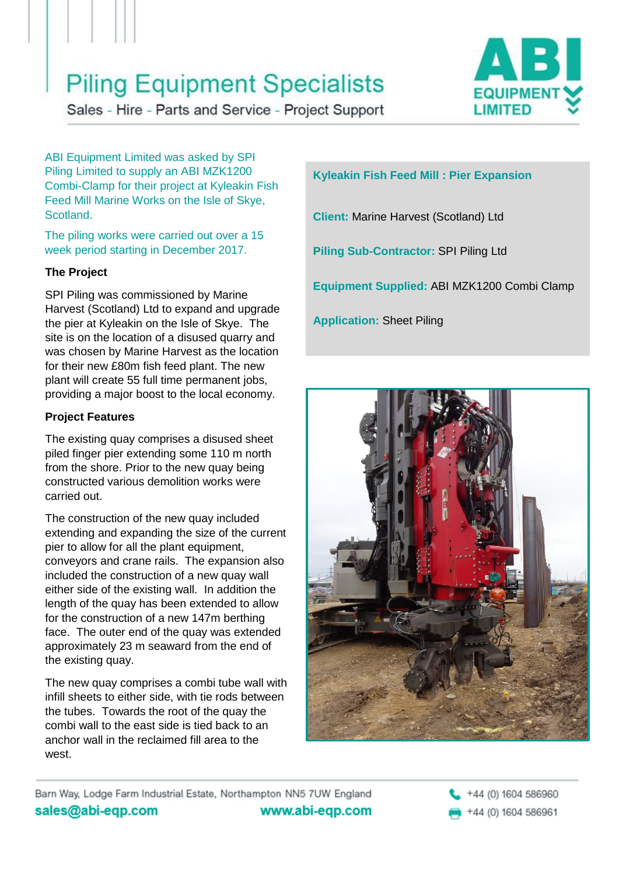# **Piling Equipment Specialists**



Sales - Hire - Parts and Service - Project Support

ABI Equipment Limited was asked by SPI Piling Limited to supply an ABI MZK1200 Combi-Clamp for their project at Kyleakin Fish Feed Mill Marine Works on the Isle of Skye, Scotland.

The piling works were carried out over a 15 week period starting in December 2017.

### **The Project**

SPI Piling was commissioned by Marine Harvest (Scotland) Ltd to expand and upgrade the pier at Kyleakin on the Isle of Skye. The site is on the location of a disused quarry and was chosen by Marine Harvest as the location for their new £80m fish feed plant. The new plant will create 55 full time permanent jobs, providing a major boost to the local economy.

### **Project Features**

The existing quay comprises a disused sheet piled finger pier extending some 110 m north from the shore. Prior to the new quay being constructed various demolition works were carried out.

The construction of the new quay included extending and expanding the size of the current pier to allow for all the plant equipment, conveyors and crane rails. The expansion also included the construction of a new quay wall either side of the existing wall. In addition the length of the quay has been extended to allow for the construction of a new 147m berthing face. The outer end of the quay was extended approximately 23 m seaward from the end of the existing quay.

The new quay comprises a combi tube wall with infill sheets to either side, with tie rods between the tubes. Towards the root of the quay the combi wall to the east side is tied back to an anchor wall in the reclaimed fill area to the west.

## **Kyleakin Fish Feed Mill : Pier Expansion**

**Client:** Marine Harvest (Scotland) Ltd

**Piling Sub-Contractor:** SPI Piling Ltd

**Equipment Supplied:** ABI MZK1200 Combi Clamp

**Application:** Sheet Piling



Barn Way, Lodge Farm Industrial Estate, Northampton NN5 7UW England sales@abi-eqp.com www.abi-eqp.com

+44 (0) 1604 586960 +44 (0) 1604 586961